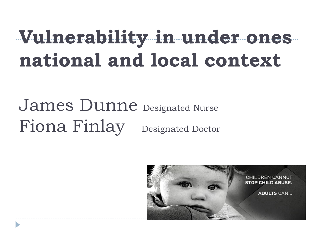# **Vulnerability in under ones national and local context**

# James Dunne Designated Nurse Fiona Finlay Designated Doctor

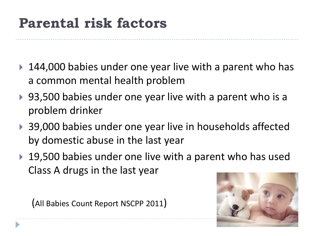#### **Parental risk factors**

- ▶ 144,000 babies under one year live with a parent who has a common mental health problem
- ▶ 93,500 babies under one year live with a parent who is a problem drinker
- ▶ 39,000 babies under one year live in households affected by domestic abuse in the last year
- ▶ 19,500 babies under one live with a parent who has used Class A drugs in the last year

(All Babies Count Report NSCPP 2011)

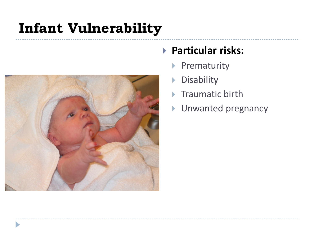#### **Infant Vulnerability**



#### **Particular risks:**

- ▶ Prematurity
- **Disability**
- **Traumatic birth**
- **Unwanted pregnancy**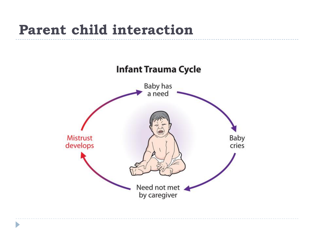#### **Parent child interaction**

n,

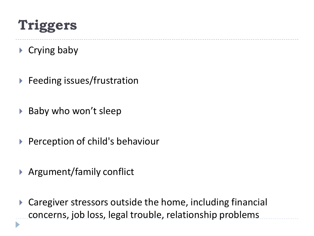#### **Triggers**

 $\triangleright$  Crying baby

D

- ▶ Feeding issues/frustration
- ▶ Baby who won't sleep
- ▶ Perception of child's behaviour
- ▶ Argument/family conflict
- ▶ Caregiver stressors outside the home, including financial concerns, job loss, legal trouble, relationship problems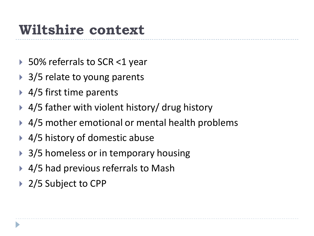#### **Wiltshire context**

- ▶ 50% referrals to SCR <1 year
- **▶ 3/5 relate to young parents**
- ▶ 4/5 first time parents
- ▶ 4/5 father with violent history/ drug history
- ▶ 4/5 mother emotional or mental health problems
- **▶ 4/5 history of domestic abuse**
- ▶ 3/5 homeless or in temporary housing
- ▶ 4/5 had previous referrals to Mash
- ▶ 2/5 Subject to CPP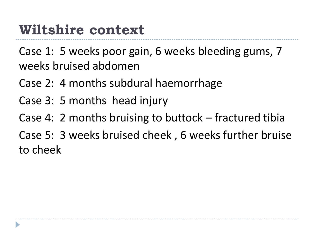#### **Wiltshire context**

Case 1: 5 weeks poor gain, 6 weeks bleeding gums, 7 weeks bruised abdomen

- Case 2: 4 months subdural haemorrhage
- Case 3: 5 months head injury
- Case 4: 2 months bruising to buttock fractured tibia
- Case 5: 3 weeks bruised cheek , 6 weeks further bruise to cheek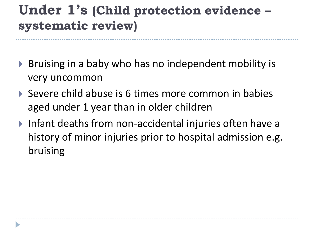#### **Under 1's (Child protection evidence – systematic review)**

- ▶ Bruising in a baby who has no independent mobility is very uncommon
- Severe child abuse is 6 times more common in babies aged under 1 year than in older children
- Infant deaths from non-accidental injuries often have a history of minor injuries prior to hospital admission e.g. bruising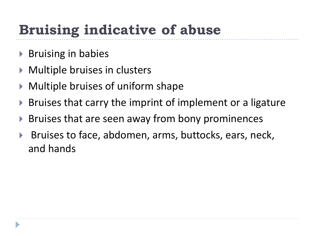# **Bruising indicative of abuse**

- ▶ Bruising in babies
- ▶ Multiple bruises in clusters
- Multiple bruises of uniform shape
- ▶ Bruises that carry the imprint of implement or a ligature
- ▶ Bruises that are seen away from bony prominences
- ▶ Bruises to face, abdomen, arms, buttocks, ears, neck, and hands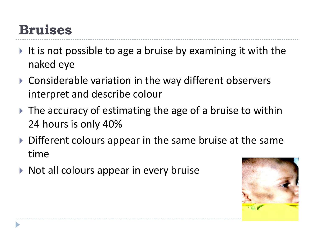#### **Bruises**

- It is not possible to age a bruise by examining it with the naked eye
- ▶ Considerable variation in the way different observers interpret and describe colour
- $\triangleright$  The accuracy of estimating the age of a bruise to within 24 hours is only 40%
- Different colours appear in the same bruise at the same time
- $\triangleright$  Not all colours appear in every bruise

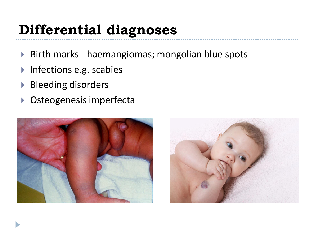#### **Differential diagnoses**

- ▶ Birth marks haemangiomas; mongolian blue spots
- ▶ Infections e.g. scabies
- ▶ Bleeding disorders
- ▶ Osteogenesis imperfecta



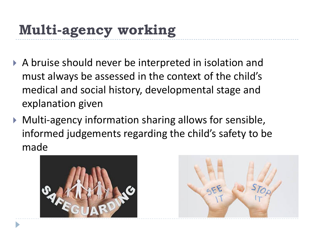# **Multi-agency working**

- A bruise should never be interpreted in isolation and must always be assessed in the context of the child's medical and social history, developmental stage and explanation given
- Multi-agency information sharing allows for sensible, informed judgements regarding the child's safety to be made



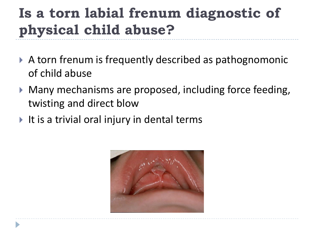# **Is a torn labial frenum diagnostic of physical child abuse?**

- A torn frenum is frequently described as pathognomonic of child abuse
- Many mechanisms are proposed, including force feeding, twisting and direct blow
- $\blacktriangleright$  It is a trivial oral injury in dental terms

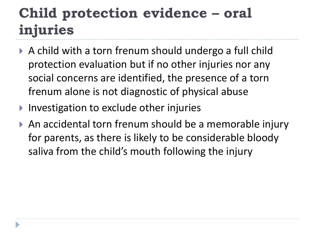#### **Child protection evidence – oral injuries**

- ▶ A child with a torn frenum should undergo a full child protection evaluation but if no other injuries nor any social concerns are identified, the presence of a torn frenum alone is not diagnostic of physical abuse
- **▶ Investigation to exclude other injuries**
- ▶ An accidental torn frenum should be a memorable injury for parents, as there is likely to be considerable bloody saliva from the child's mouth following the injury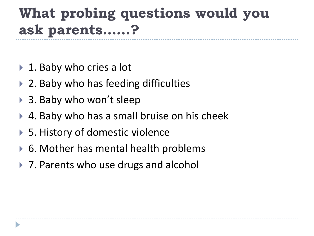# **What probing questions would you ask parents……?**

- ▶ 1. Baby who cries a lot
- ▶ 2. Baby who has feeding difficulties
- ▶ 3. Baby who won't sleep
- ▶ 4. Baby who has a small bruise on his cheek
- ▶ 5. History of domestic violence
- ▶ 6. Mother has mental health problems
- ▶ 7. Parents who use drugs and alcohol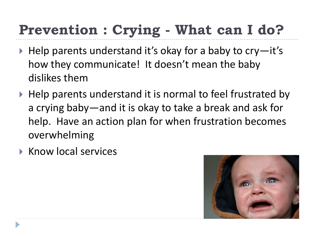# **Prevention : Crying - What can I do?**

- $\blacktriangleright$  Help parents understand it's okay for a baby to cry-it's how they communicate! It doesn't mean the baby dislikes them
- $\blacktriangleright$  Help parents understand it is normal to feel frustrated by a crying baby—and it is okay to take a break and ask for help. Have an action plan for when frustration becomes overwhelming
- $\triangleright$  Know local services

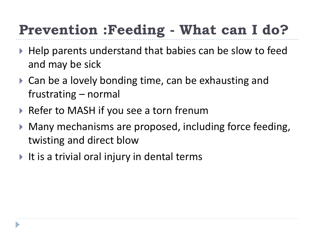# **Prevention :Feeding - What can I do?**

- ▶ Help parents understand that babies can be slow to feed and may be sick
- ▶ Can be a lovely bonding time, can be exhausting and frustrating – normal
- ▶ Refer to MASH if you see a torn frenum
- Many mechanisms are proposed, including force feeding, twisting and direct blow
- It is a trivial oral injury in dental terms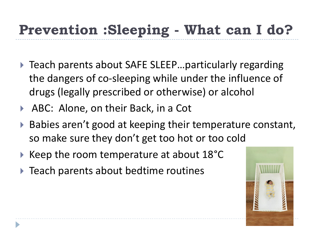## **Prevention :Sleeping - What can I do?**

- ▶ Teach parents about SAFE SLEEP...particularly regarding the dangers of co-sleeping while under the influence of drugs (legally prescribed or otherwise) or alcohol
- ▶ ABC: Alone, on their Back, in a Cot
- Babies aren't good at keeping their temperature constant, so make sure they don't get too hot or too cold
- $\triangleright$  Keep the room temperature at about 18 $^{\circ}$ C
- $\triangleright$  Teach parents about bedtime routines

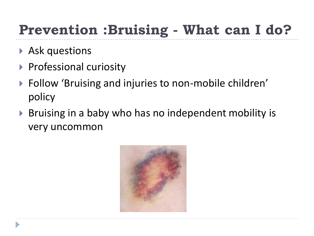# **Prevention :Bruising - What can I do?**

- Ask questions
- **Professional curiosity**
- ▶ Follow 'Bruising and injuries to non-mobile children' policy
- ▶ Bruising in a baby who has no independent mobility is very uncommon

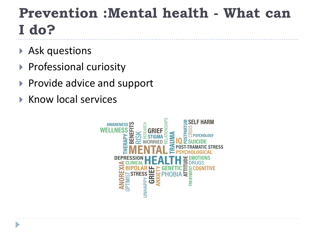#### **Prevention :Mental health - What can I do?**

- Ask questions
- ▶ Professional curiosity
- Provide advice and support
- $\triangleright$  Know local services

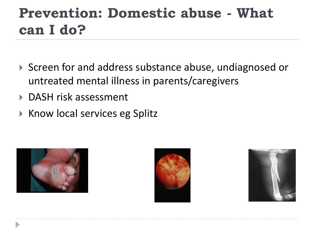#### **Prevention: Domestic abuse - What can I do?**

- ▶ Screen for and address substance abuse, undiagnosed or untreated mental illness in parents/caregivers
- ▶ DASH risk assessment
- ▶ Know local services eg Splitz





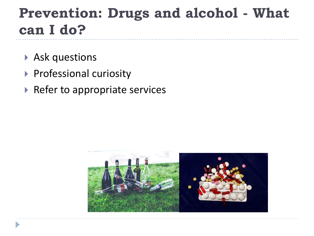#### **Prevention: Drugs and alcohol - What can I do?**

- Ask questions
- **Professional curiosity**
- $\triangleright$  Refer to appropriate services

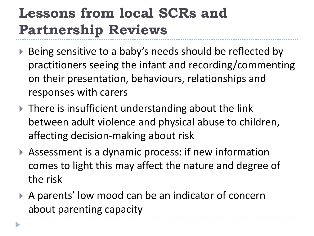#### **Lessons from local SCRs and Partnership Reviews**

- ▶ Being sensitive to a baby's needs should be reflected by practitioners seeing the infant and recording/commenting on their presentation, behaviours, relationships and responses with carers
- ▶ There is insufficient understanding about the link between adult violence and physical abuse to children, affecting decision-making about risk
- Assessment is a dynamic process: if new information comes to light this may affect the nature and degree of the risk
- ▶ A parents' low mood can be an indicator of concern about parenting capacity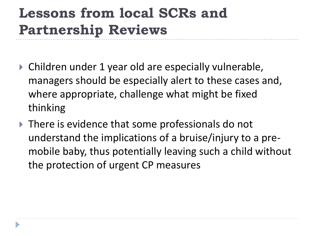#### **Lessons from local SCRs and Partnership Reviews**

- ▶ Children under 1 year old are especially vulnerable, managers should be especially alert to these cases and, where appropriate, challenge what might be fixed thinking
- ▶ There is evidence that some professionals do not understand the implications of a bruise/injury to a premobile baby, thus potentially leaving such a child without the protection of urgent CP measures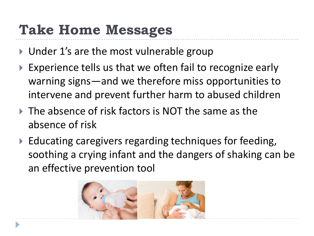#### **Take Home Messages**

- ▶ Under 1's are the most vulnerable group
- Experience tells us that we often fail to recognize early warning signs—and we therefore miss opportunities to intervene and prevent further harm to abused children
- ▶ The absence of risk factors is NOT the same as the absence of risk
- ▶ Educating caregivers regarding techniques for feeding, soothing a crying infant and the dangers of shaking can be an effective prevention tool

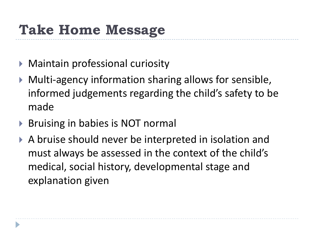# **Take Home Message**

- Maintain professional curiosity
- Multi-agency information sharing allows for sensible, informed judgements regarding the child's safety to be made
- ▶ Bruising in babies is NOT normal
- A bruise should never be interpreted in isolation and must always be assessed in the context of the child's medical, social history, developmental stage and explanation given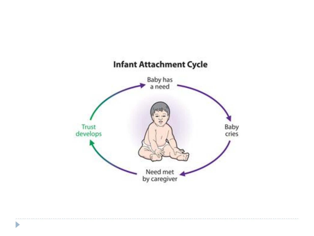

 $\blacktriangleright$